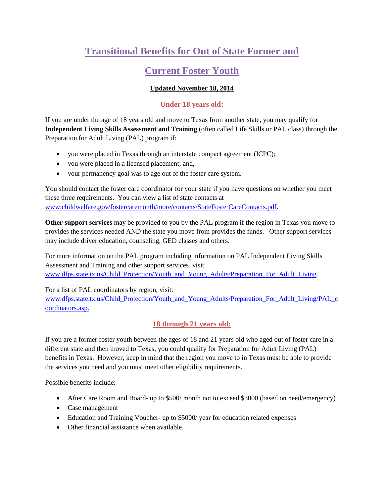# **Transitional Benefits for Out of State Former and**

## **Current Foster Youth**

## **Updated November 18, 2014**

## **Under 18 years old:**

If you are under the age of 18 years old and move to Texas from another state, you may qualify for **Independent Living Skills Assessment and Training** (often called Life Skills or PAL class) through the Preparation for Adult Living (PAL) program if:

- you were placed in Texas through an interstate compact agreement (ICPC);
- you were placed in a licensed placement; and,
- your permanency goal was to age out of the foster care system.

You should contact the foster care coordinator for your state if you have questions on whether you meet these three requirements. You can view a list of state contacts at [www.childwelfare.gov/fostercaremonth/more/contacts/StateFosterCareContacts.pdf.](http://www.childwelfare.gov/fostercaremonth/more/contacts/StateFosterCareContacts.pdf)

**Other support services** may be provided to you by the PAL program if the region in Texas you move to provides the services needed AND the state you move from provides the funds. Other support services may include driver education, counseling, GED classes and others.

For more information on the PAL program including information on PAL Independent Living Skills Assessment and Training and other support services, visit [www.dfps.state.tx.us/Child\\_Protection/Youth\\_and\\_Young\\_Adults/Preparation\\_For\\_Adult\\_Living.](http://www.dfps.state.tx.us/Child_Protection/Youth_and_Young_Adults/Preparation_For_Adult_Living)

For a list of PAL coordinators by region, visit:

[www.dfps.state.tx.us/Child\\_Protection/Youth\\_and\\_Young\\_Adults/Preparation\\_For\\_Adult\\_Living/PAL\\_c](http://www.dfps.state.tx.us/Child_Protection/Youth_and_Young_Adults/Preparation_For_Adult_Living/PAL_coordinators.asp) [oordinators.asp.](http://www.dfps.state.tx.us/Child_Protection/Youth_and_Young_Adults/Preparation_For_Adult_Living/PAL_coordinators.asp)

## **18 through 21 years old:**

If you are a former foster youth between the ages of 18 and 21 years old who aged out of foster care in a different state and then moved to Texas, you could qualify for Preparation for Adult Living (PAL) benefits in Texas. However, keep in mind that the region you move to in Texas must be able to provide the services you need and you must meet other eligibility requirements.

Possible benefits include:

- After Care Room and Board- up to \$500/ month not to exceed \$3000 (based on need/emergency)
- Case management
- Education and Training Voucher- up to \$5000/ year for education related expenses
- Other financial assistance when available.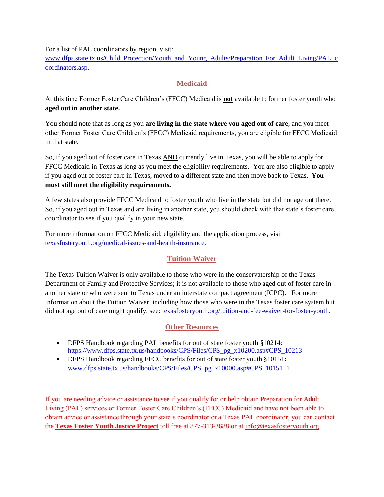For a list of PAL coordinators by region, visit:

[www.dfps.state.tx.us/Child\\_Protection/Youth\\_and\\_Young\\_Adults/Preparation\\_For\\_Adult\\_Living/PAL\\_c](http://www.dfps.state.tx.us/Child_Protection/Youth_and_Young_Adults/Preparation_For_Adult_Living/PAL_coordinators.asp) [oordinators.asp.](http://www.dfps.state.tx.us/Child_Protection/Youth_and_Young_Adults/Preparation_For_Adult_Living/PAL_coordinators.asp)

## **Medicaid**

At this time Former Foster Care Children's (FFCC) Medicaid is **not** available to former foster youth who **aged out in another state.**

You should note that as long as you **are living in the state where you aged out of care**, and you meet other Former Foster Care Children's (FFCC) Medicaid requirements, you are eligible for FFCC Medicaid in that state.

So, if you aged out of foster care in Texas AND currently live in Texas, you will be able to apply for FFCC Medicaid in Texas as long as you meet the eligibility requirements. You are also eligible to apply if you aged out of foster care in Texas, moved to a different state and then move back to Texas. **You must still meet the eligibility requirements.**

A few states also provide FFCC Medicaid to foster youth who live in the state but did not age out there. So, if you aged out in Texas and are living in another state, you should check with that state's foster care coordinator to see if you qualify in your new state.

For more information on FFCC Medicaid, eligibility and the application process, visit [texasfosteryouth.org/medical-issues-and-health-insurance.](http://texasfosteryouth.org/medical-issues-and-health-insurance/)

## **Tuition Waiver**

The Texas Tuition Waiver is only available to those who were in the conservatorship of the Texas Department of Family and Protective Services; it is not available to those who aged out of foster care in another state or who were sent to Texas under an interstate compact agreement (ICPC). For more information about the Tuition Waiver, including how those who were in the Texas foster care system but did not age out of care might qualify, see: [texasfosteryouth.org/tuition-and-fee-waiver-for-foster-youth.](http://texasfosteryouth.org/tuition-and-fee-waiver-for-foster-youth/)

#### **Other Resources**

- DFPS Handbook regarding PAL benefits for out of state foster youth §10214: [https://www.dfps.state.tx.us/handbooks/CPS/Files/CPS\\_pg\\_x10200.asp#CPS\\_10213](https://www.dfps.state.tx.us/handbooks/CPS/Files/CPS_pg_x10200.asp#CPS_10213)
- DFPS Handbook regarding FFCC benefits for out of state foster youth §10151: [www.dfps.state.tx.us/handbooks/CPS/Files/CPS\\_pg\\_x10000.asp#CPS\\_10151\\_1](http://www.dfps.state.tx.us/handbooks/CPS/Files/CPS_pg_x10000.asp#CPS_10151_1)

If you are needing advice or assistance to see if you qualify for or help obtain Preparation for Adult Living (PAL) services or Former Foster Care Children's (FFCC) Medicaid and have not been able to obtain advice or assistance through your state's coordinator or a Texas PAL coordinator, you can contact the **Texas Foster Youth Justice Project** toll free at 877-313-3688 or at [info@texasfosteryouth.org.](mailto:info@texasfosteryouth.org)